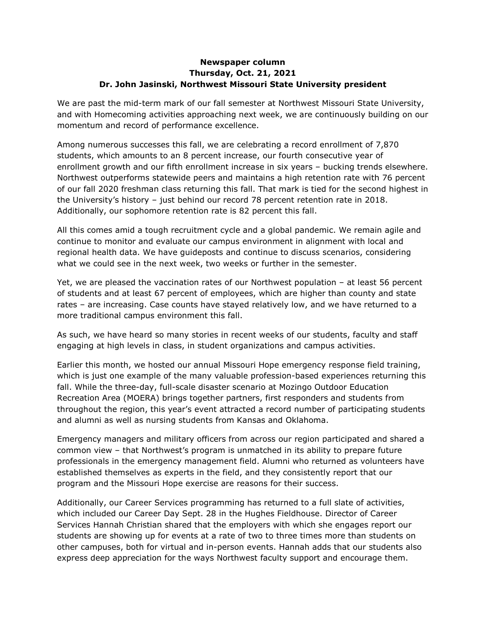## **Newspaper column Thursday, Oct. 21, 2021 Dr. John Jasinski, Northwest Missouri State University president**

We are past the mid-term mark of our fall semester at Northwest Missouri State University, and with Homecoming activities approaching next week, we are continuously building on our momentum and record of performance excellence.

Among numerous successes this fall, we are celebrating a record enrollment of 7,870 students, which amounts to an 8 percent increase, our fourth consecutive year of enrollment growth and our fifth enrollment increase in six years – bucking trends elsewhere. Northwest outperforms statewide peers and maintains a high retention rate with 76 percent of our fall 2020 freshman class returning this fall. That mark is tied for the second highest in the University's history – just behind our record 78 percent retention rate in 2018. Additionally, our sophomore retention rate is 82 percent this fall.

All this comes amid a tough recruitment cycle and a global pandemic. We remain agile and continue to monitor and evaluate our campus environment in alignment with local and regional health data. We have guideposts and continue to discuss scenarios, considering what we could see in the next week, two weeks or further in the semester.

Yet, we are pleased the vaccination rates of our Northwest population – at least 56 percent of students and at least 67 percent of employees, which are higher than county and state rates – are increasing. Case counts have stayed relatively low, and we have returned to a more traditional campus environment this fall.

As such, we have heard so many stories in recent weeks of our students, faculty and staff engaging at high levels in class, in student organizations and campus activities.

Earlier this month, we hosted our annual Missouri Hope emergency response field training, which is just one example of the many valuable profession-based experiences returning this fall. While the three-day, full-scale disaster scenario at Mozingo Outdoor Education Recreation Area (MOERA) brings together partners, first responders and students from throughout the region, this year's event attracted a record number of participating students and alumni as well as nursing students from Kansas and Oklahoma.

Emergency managers and military officers from across our region participated and shared a common view – that Northwest's program is unmatched in its ability to prepare future professionals in the emergency management field. Alumni who returned as volunteers have established themselves as experts in the field, and they consistently report that our program and the Missouri Hope exercise are reasons for their success.

Additionally, our Career Services programming has returned to a full slate of activities, which included our Career Day Sept. 28 in the Hughes Fieldhouse. Director of Career Services Hannah Christian shared that the employers with which she engages report our students are showing up for events at a rate of two to three times more than students on other campuses, both for virtual and in-person events. Hannah adds that our students also express deep appreciation for the ways Northwest faculty support and encourage them.